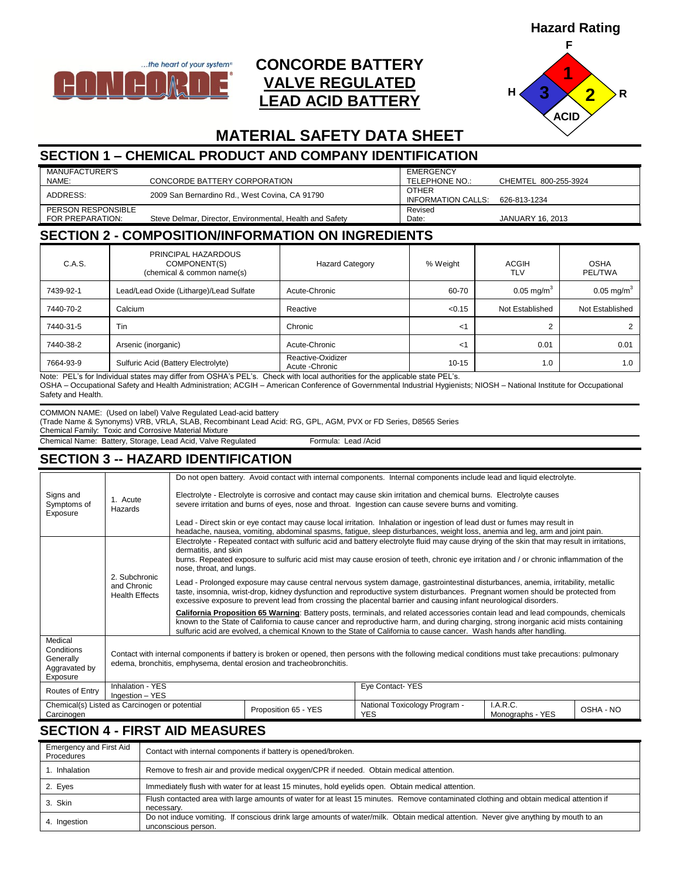**Hazard Rating**



# **CONCORDE BATTERY VALVE REGULATED LEAD ACID BATTERY**



# **MATERIAL SAFETY DATA SHEET**

## **SECTION 1 – CHEMICAL PRODUCT AND COMPANY IDENTIFICATION**

| MANUFACTURER'S     |                                                          | <b>EMERGENCY</b>   |                         |
|--------------------|----------------------------------------------------------|--------------------|-------------------------|
| NAME:              | CONCORDE BATTERY CORPORATION                             | TELEPHONE NO.:     | CHEMTEL 800-255-3924    |
| ADDRESS:           | 2009 San Bernardino Rd., West Covina, CA 91790           | <b>OTHER</b>       |                         |
|                    |                                                          | INFORMATION CALLS: | 626-813-1234            |
| PERSON RESPONSIBLE |                                                          | Revised            |                         |
| FOR PREPARATION:   | Steve Delmar, Director, Environmental, Health and Safety | Date:              | <b>JANUARY 16, 2013</b> |

#### **SECTION 2 - COMPOSITION/INFORMATION ON INGREDIENTS**

| C.A.S.    | PRINCIPAL HAZARDOUS<br>COMPONENT(S)<br>(chemical & common name(s) | <b>Hazard Category</b>               | % Weight  | ACGIH<br>TLV          | OSHA<br><b>PEL/TWA</b> |
|-----------|-------------------------------------------------------------------|--------------------------------------|-----------|-----------------------|------------------------|
| 7439-92-1 | Lead/Lead Oxide (Litharge)/Lead Sulfate                           | Acute-Chronic                        | 60-70     | $0.05 \text{ mg/m}^3$ | $0.05 \text{ mg/m}^3$  |
| 7440-70-2 | Calcium                                                           | Reactive                             | < 0.15    | Not Established       | Not Established        |
| 7440-31-5 | Tin                                                               | Chronic                              | <1        |                       |                        |
| 7440-38-2 | Arsenic (inorganic)                                               | Acute-Chronic                        | <1        | 0.01                  | 0.01                   |
| 7664-93-9 | Sulfuric Acid (Battery Electrolyte)                               | Reactive-Oxidizer<br>Acute - Chronic | $10 - 15$ | 1.0                   | 1.0                    |

Note: PEL's for Individual states may differ from OSHA's PEL's. Check with local authorities for the applicable state PEL's.

OSHA – Occupational Safety and Health Administration; ACGIH – American Conference of Governmental Industrial Hygienists; NIOSH – National Institute for Occupational Safety and Health.

COMMON NAME: (Used on label) Valve Regulated Lead-acid battery

(Trade Name & Synonyms) VRB, VRLA, SLAB, Recombinant Lead Acid: RG, GPL, AGM, PVX or FD Series, D8565 Series

Chemical Family: Toxic and Corrosive Material Mixture

Chemical Name: Battery, Storage, Lead Acid, Valve Regulated Formula: Lead /Acid

#### **SECTION 3 -- HAZARD IDENTIFICATION**

|                                                                 |                                                                                                                                                                                                                             |                                                                                                                                                                                                                                                                                                                                                                                              |                      | Do not open battery. Avoid contact with internal components. Internal components include lead and liquid electrolyte.                                                                                                                                    |                              |           |  |
|-----------------------------------------------------------------|-----------------------------------------------------------------------------------------------------------------------------------------------------------------------------------------------------------------------------|----------------------------------------------------------------------------------------------------------------------------------------------------------------------------------------------------------------------------------------------------------------------------------------------------------------------------------------------------------------------------------------------|----------------------|----------------------------------------------------------------------------------------------------------------------------------------------------------------------------------------------------------------------------------------------------------|------------------------------|-----------|--|
| Signs and<br>Symptoms of<br>Exposure                            | 1. Acute<br>Hazards                                                                                                                                                                                                         | Electrolyte - Electrolyte is corrosive and contact may cause skin irritation and chemical burns. Electrolyte causes<br>severe irritation and burns of eyes, nose and throat. Ingestion can cause severe burns and vomiting.                                                                                                                                                                  |                      |                                                                                                                                                                                                                                                          |                              |           |  |
|                                                                 |                                                                                                                                                                                                                             |                                                                                                                                                                                                                                                                                                                                                                                              |                      | Lead - Direct skin or eye contact may cause local irritation. Inhalation or ingestion of lead dust or fumes may result in<br>headache, nausea, vomiting, abdominal spasms, fatigue, sleep disturbances, weight loss, anemia and leg, arm and joint pain. |                              |           |  |
|                                                                 |                                                                                                                                                                                                                             | Electrolyte - Repeated contact with sulfuric acid and battery electrolyte fluid may cause drying of the skin that may result in irritations,<br>dermatitis, and skin<br>burns. Repeated exposure to sulfuric acid mist may cause erosion of teeth, chronic eye irritation and / or chronic inflammation of the<br>nose, throat, and lungs.                                                   |                      |                                                                                                                                                                                                                                                          |                              |           |  |
|                                                                 | 2. Subchronic<br>and Chronic<br><b>Health Effects</b>                                                                                                                                                                       | Lead - Prolonged exposure may cause central nervous system damage, gastrointestinal disturbances, anemia, irritability, metallic<br>taste, insomnia, wrist-drop, kidney dysfunction and reproductive system disturbances. Pregnant women should be protected from<br>excessive exposure to prevent lead from crossing the placental barrier and causing infant neurological disorders.       |                      |                                                                                                                                                                                                                                                          |                              |           |  |
|                                                                 |                                                                                                                                                                                                                             | California Proposition 65 Warning: Battery posts, terminals, and related accessories contain lead and lead compounds, chemicals<br>known to the State of California to cause cancer and reproductive harm, and during charging, strong inorganic acid mists containing<br>sulfuric acid are evolved, a chemical Known to the State of California to cause cancer. Wash hands after handling. |                      |                                                                                                                                                                                                                                                          |                              |           |  |
| Medical<br>Conditions<br>Generally<br>Aggravated by<br>Exposure | Contact with internal components if battery is broken or opened, then persons with the following medical conditions must take precautions: pulmonary<br>edema, bronchitis, emphysema, dental erosion and tracheobronchitis. |                                                                                                                                                                                                                                                                                                                                                                                              |                      |                                                                                                                                                                                                                                                          |                              |           |  |
| Routes of Entry                                                 | Inhalation - YES<br>Ingestion - YES                                                                                                                                                                                         |                                                                                                                                                                                                                                                                                                                                                                                              |                      | Eye Contact-YES                                                                                                                                                                                                                                          |                              |           |  |
| Carcinogen                                                      | Chemical(s) Listed as Carcinogen or potential                                                                                                                                                                               |                                                                                                                                                                                                                                                                                                                                                                                              | Proposition 65 - YES | National Toxicology Program -<br><b>YES</b>                                                                                                                                                                                                              | I.A.R.C.<br>Monographs - YES | OSHA - NO |  |

#### **SECTION 4 - FIRST AID MEASURES**

| <b>Emergency and First Aid</b><br>Procedures | Contact with internal components if battery is opened/broken.                                                                                               |
|----------------------------------------------|-------------------------------------------------------------------------------------------------------------------------------------------------------------|
| 1. Inhalation                                | Remove to fresh air and provide medical oxygen/CPR if needed. Obtain medical attention.                                                                     |
| 2. Eyes                                      | Immediately flush with water for at least 15 minutes, hold eyelids open. Obtain medical attention.                                                          |
| 3. Skin                                      | Flush contacted area with large amounts of water for at least 15 minutes. Remove contaminated clothing and obtain medical attention if<br>necessary.        |
| 4. Ingestion                                 | Do not induce vomiting. If conscious drink large amounts of water/milk. Obtain medical attention. Never give anything by mouth to an<br>unconscious person. |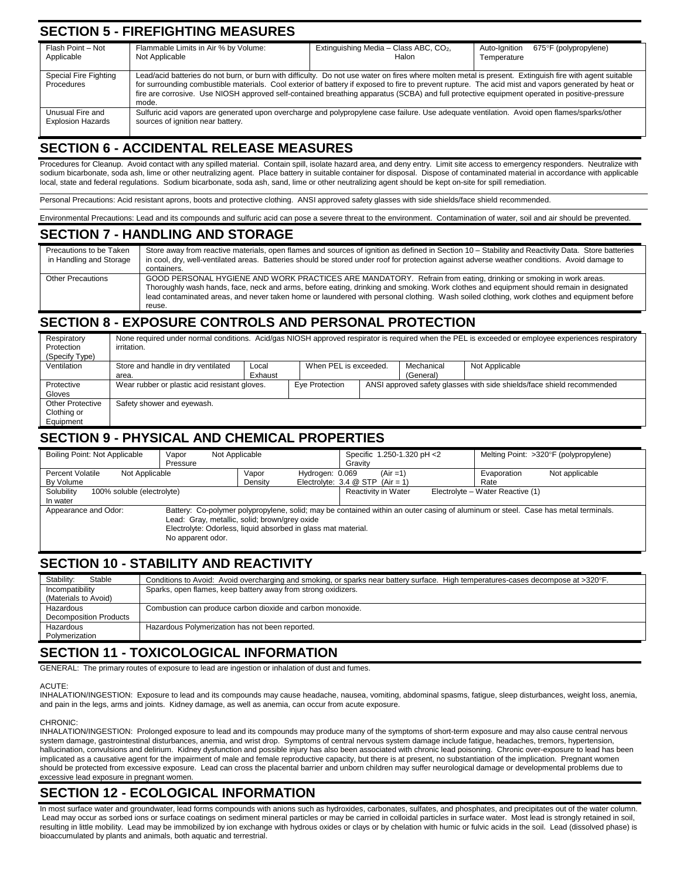### **SECTION 5 - FIREFIGHTING MEASURES**

| Flash Point - Not<br>Applicable              | Flammable Limits in Air % by Volume:<br>Not Applicable                                                                                                                                                                                                                                                                                                                                                                                                                  | Extinguishing Media - Class ABC, CO <sub>2</sub> ,<br>Halon | 675°F (polypropylene)<br>Auto-Ignition<br>Temperature |  |
|----------------------------------------------|-------------------------------------------------------------------------------------------------------------------------------------------------------------------------------------------------------------------------------------------------------------------------------------------------------------------------------------------------------------------------------------------------------------------------------------------------------------------------|-------------------------------------------------------------|-------------------------------------------------------|--|
| Special Fire Fighting<br>Procedures          | Lead/acid batteries do not burn, or burn with difficulty. Do not use water on fires where molten metal is present. Extinguish fire with agent suitable<br>for surrounding combustible materials. Cool exterior of battery if exposed to fire to prevent rupture. The acid mist and vapors generated by heat or<br>fire are corrosive. Use NIOSH approved self-contained breathing apparatus (SCBA) and full protective equipment operated in positive-pressure<br>mode. |                                                             |                                                       |  |
| Unusual Fire and<br><b>Explosion Hazards</b> | Sulfuric acid vapors are generated upon overcharge and polypropylene case failure. Use adequate ventilation. Avoid open flames/sparks/other<br>sources of ignition near battery.                                                                                                                                                                                                                                                                                        |                                                             |                                                       |  |

### **SECTION 6 - ACCIDENTAL RELEASE MEASURES**

Procedures for Cleanup. Avoid contact with any spilled material. Contain spill, isolate hazard area, and deny entry. Limit site access to emergency responders. Neutralize with sodium bicarbonate, soda ash, lime or other neutralizing agent. Place battery in suitable container for disposal. Dispose of contaminated material in accordance with applicable local, state and federal regulations. Sodium bicarbonate, soda ash, sand, lime or other neutralizing agent should be kept on-site for spill remediation.

Personal Precautions: Acid resistant aprons, boots and protective clothing. ANSI approved safety glasses with side shields/face shield recommended.

Environmental Precautions: Lead and its compounds and sulfuric acid can pose a severe threat to the environment. Contamination of water, soil and air should be prevented

#### **SECTION 7 - HANDLING AND STORAGE**

| Precautions to be Taken<br>in Handling and Storage | Store away from reactive materials, open flames and sources of ignition as defined in Section 10 - Stability and Reactivity Data. Store batteries<br>in cool, dry, well-ventilated areas. Batteries should be stored under roof for protection against adverse weather conditions. Avoid damage to<br>containers.                                                                                                  |
|----------------------------------------------------|--------------------------------------------------------------------------------------------------------------------------------------------------------------------------------------------------------------------------------------------------------------------------------------------------------------------------------------------------------------------------------------------------------------------|
| Other Precautions                                  | GOOD PERSONAL HYGIENE AND WORK PRACTICES ARE MANDATORY. Refrain from eating, drinking or smoking in work areas.<br>Thoroughly wash hands, face, neck and arms, before eating, drinking and smoking. Work clothes and equipment should remain in designated<br>lead contaminated areas, and never taken home or laundered with personal clothing. Wash soiled clothing, work clothes and equipment before<br>reuse. |

#### **SECTION 8 - EXPOSURE CONTROLS AND PERSONAL PROTECTION**

| Respiratory<br>Protection<br>(Specify Type) | None required under normal conditions. Acid/gas NIOSH approved respirator is required when the PEL is exceeded or employee experiences respiratory<br>irritation. |         |                       |  |            |                |
|---------------------------------------------|-------------------------------------------------------------------------------------------------------------------------------------------------------------------|---------|-----------------------|--|------------|----------------|
| Ventilation                                 | Store and handle in dry ventilated                                                                                                                                | Local   | When PEL is exceeded. |  | Mechanical | Not Applicable |
|                                             | area.                                                                                                                                                             | Exhaust |                       |  | (General)  |                |
| Protective                                  | Wear rubber or plastic acid resistant gloves.<br>ANSI approved safety glasses with side shields/face shield recommended<br>Eye Protection                         |         |                       |  |            |                |
| Gloves                                      |                                                                                                                                                                   |         |                       |  |            |                |
| <b>Other Protective</b>                     | Safety shower and eyewash.                                                                                                                                        |         |                       |  |            |                |
| Clothing or                                 |                                                                                                                                                                   |         |                       |  |            |                |
| Equipment                                   |                                                                                                                                                                   |         |                       |  |            |                |

#### **SECTION 9 - PHYSICAL AND CHEMICAL PROPERTIES**

| Boiling Point: Not Applicable                          | Not Applicable<br>Vapor<br>Pressure |                                                                                                                | Specific 1.250-1.320 pH <2<br>Gravity               | Melting Point: >320°F (polypropylene)                                                                                             |                |
|--------------------------------------------------------|-------------------------------------|----------------------------------------------------------------------------------------------------------------|-----------------------------------------------------|-----------------------------------------------------------------------------------------------------------------------------------|----------------|
| <b>Percent Volatile</b><br>Not Applicable<br>By Volume |                                     | Vapor<br>Hydrogen: 0.069<br>Density                                                                            | $(Air = 1)$<br>Electrolyte: $3.4 \ @$ STP (Air = 1) | Evaporation<br>Rate                                                                                                               | Not applicable |
| Solubility<br>100% soluble (electrolyte)<br>In water   |                                     |                                                                                                                | Reactivity in Water                                 | Electrolyte - Water Reactive (1)                                                                                                  |                |
| Appearance and Odor:                                   | No apparent odor.                   | Lead: Gray, metallic, solid; brown/grey oxide<br>Electrolyte: Odorless, liquid absorbed in glass mat material. |                                                     | Battery: Co-polymer polypropylene, solid; may be contained within an outer casing of aluminum or steel. Case has metal terminals. |                |

#### **SECTION 10 - STABILITY AND REACTIVITY**

| Stability:<br>Stable   | Conditions to Avoid: Avoid overcharging and smoking, or sparks near battery surface. High temperatures-cases decompose at >320°F. |
|------------------------|-----------------------------------------------------------------------------------------------------------------------------------|
| Incompatibility        | Sparks, open flames, keep battery away from strong oxidizers.                                                                     |
| (Materials to Avoid)   |                                                                                                                                   |
| Hazardous              | Combustion can produce carbon dioxide and carbon monoxide.                                                                        |
| Decomposition Products |                                                                                                                                   |
| Hazardous              | Hazardous Polymerization has not been reported.                                                                                   |
| Polymerization         |                                                                                                                                   |

#### **SECTION 11 - TOXICOLOGICAL INFORMATION**

GENERAL: The primary routes of exposure to lead are ingestion or inhalation of dust and fumes.

#### **ACUTE**

INHALATION/INGESTION: Exposure to lead and its compounds may cause headache, nausea, vomiting, abdominal spasms, fatigue, sleep disturbances, weight loss, anemia, and pain in the legs, arms and joints. Kidney damage, as well as anemia, can occur from acute exposure.

#### CHRONIC:

INHALATION/INGESTION: Prolonged exposure to lead and its compounds may produce many of the symptoms of short-term exposure and may also cause central nervous system damage, gastrointestinal disturbances, anemia, and wrist drop. Symptoms of central nervous system damage include fatigue, headaches, tremors, hypertension, hallucination, convulsions and delirium. Kidney dysfunction and possible injury has also been associated with chronic lead poisoning. Chronic over-exposure to lead has been implicated as a causative agent for the impairment of male and female reproductive capacity, but there is at present, no substantiation of the implication. Pregnant women should be protected from excessive exposure. Lead can cross the placental barrier and unborn children may suffer neurological damage or developmental problems due to excessive lead exposure in pregnant women.

## **SECTION 12 - ECOLOGICAL INFORMATION**

In most surface water and groundwater, lead forms compounds with anions such as hydroxides, carbonates, sulfates, and phosphates, and precipitates out of the water column. Lead may occur as sorbed ions or surface coatings on sediment mineral particles or may be carried in colloidal particles in surface water. Most lead is strongly retained in soil, resulting in little mobility. Lead may be immobilized by ion exchange with hydrous oxides or clays or by chelation with humic or fulvic acids in the soil. Lead (dissolved phase) is bioaccumulated by plants and animals, both aquatic and terrestrial.